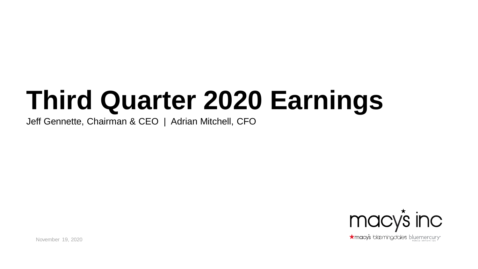# **Third Quarter 2020 Earnings**

Jeff Gennette, Chairman & CEO | Adrian Mitchell, CFO



November 19, 2020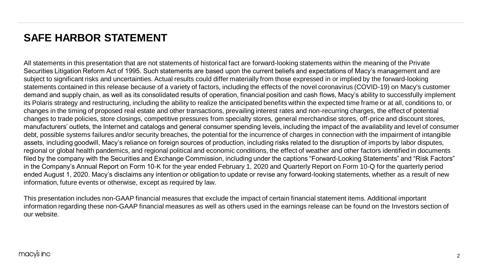## **SAFE HARBOR STATEMENT**

All statements in this presentation that are not statements of historical fact are forward-looking statements within the meaning of the Private Securities Litigation Reform Act of 1995. Such statements are based upon the current beliefs and expectations of Macy's management and are subject to significant risks and uncertainties. Actual results could differ materially from those expressed in or implied by the forward-looking statements contained in this release because of a variety of factors, including the effects of the novel coronavirus (COVID-19) on Macy's customer demand and supply chain, as well as its consolidated results of operation, financial position and cash flows, Macy's ability to successfully implement its Polaris strategy and restructuring, including the ability to realize the anticipated benefits within the expected time frame or at all, conditions to, or changes in the timing of proposed real estate and other transactions, prevailing interest rates and non-recurring charges, the effect of potential changes to trade policies, store closings, competitive pressures from specialty stores, general merchandise stores, off-price and discount stores, manufacturers' outlets, the Internet and catalogs and general consumer spending levels, including the impact of the availability and level of consumer debt, possible systems failures and/or security breaches, the potential for the incurrence of charges in connection with the impairment of intangible assets, including goodwill, Macy's reliance on foreign sources of production, including risks related to the disruption of imports by labor disputes, regional or global health pandemics, and regional political and economic conditions, the effect of weather and other factors identified in documents filed by the company with the Securities and Exchange Commission, including under the captions "Forward-Looking Statements" and "Risk Factors" in the Company's Annual Report on Form 10-K for the year ended February 1, 2020 and Quarterly Report on Form 10-Q for the quarterly period ended August 1, 2020. Macy's disclaims any intention or obligation to update or revise any forward-looking statements, whether as a result of new information, future events or otherwise, except as required by law.

This presentation includes non-GAAP financial measures that exclude the impact of certain financial statement items. Additional important information regarding these non-GAAP financial measures as well as others used in the earnings release can be found on the Investors section of our website.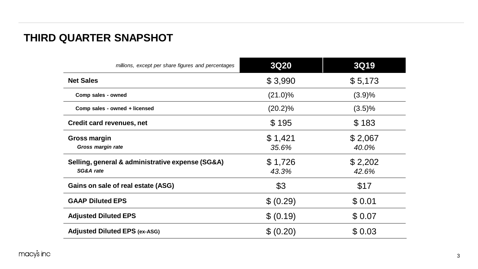## **THIRD QUARTER SNAPSHOT**

| millions, except per share figures and percentages            | 3Q20             | 3Q19             |
|---------------------------------------------------------------|------------------|------------------|
| <b>Net Sales</b>                                              | \$3,990          | \$5,173          |
| Comp sales - owned                                            | $(21.0)\%$       | (3.9)%           |
| Comp sales - owned + licensed                                 | $(20.2)\%$       | $(3.5)\%$        |
| Credit card revenues, net                                     | \$195            | \$183            |
| Gross margin<br>Gross margin rate                             | \$1,421<br>35.6% | \$2,067<br>40.0% |
| Selling, general & administrative expense (SG&A)<br>SG&A rate | \$1,726<br>43.3% | \$2,202<br>42.6% |
| Gains on sale of real estate (ASG)                            | \$3              | \$17             |
| <b>GAAP Diluted EPS</b>                                       | \$ (0.29)        | \$0.01           |
| <b>Adjusted Diluted EPS</b>                                   | \$ (0.19)        | \$0.07           |
| <b>Adjusted Diluted EPS (ex-ASG)</b>                          | \$ (0.20)        | \$0.03           |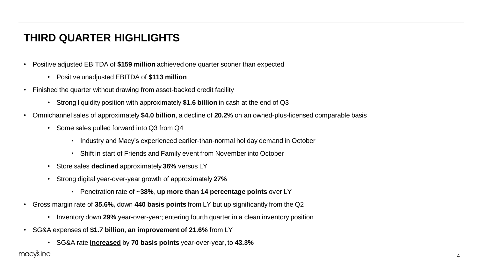## **THIRD QUARTER HIGHLIGHTS**

- Positive adjusted EBITDA of **\$159 million** achieved one quarter sooner than expected
	- Positive unadjusted EBITDA of **\$113 million**
- Finished the quarter without drawing from asset-backed credit facility
	- Strong liquidity position with approximately **\$1.6 billion** in cash at the end of Q3
- Omnichannel sales of approximately **\$4.0 billion**, a decline of **20.2%** on an owned-plus-licensed comparable basis
	- Some sales pulled forward into Q3 from Q4
		- Industry and Macy's experienced earlier-than-normal holiday demand in October
		- Shift in start of Friends and Family event from November into October
	- Store sales **declined** approximately **36%** versus LY
	- Strong digital year-over-year growth of approximately **27%**
		- Penetration rate of ~**38%**, **up more than 14 percentage points** over LY
- Gross margin rate of **35.6%,** down **440 basis points** from LY but up significantly from the Q2
	- Inventory down **29%** year-over-year; entering fourth quarter in a clean inventory position
- SG&A expenses of **\$1.7 billion**, **an improvement of 21.6%** from LY
	- SG&A rate **increased** by **70 basis points** year-over-year, to **43.3%**

macy's inc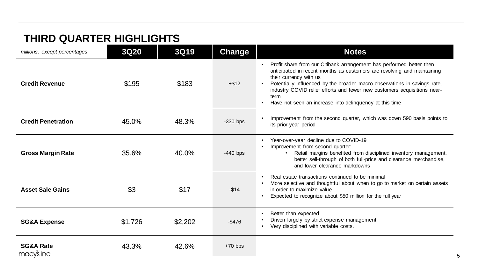## **THIRD QUARTER HIGHLIGHTS**

| millions, except percentages       | 3Q20    | 3Q19    | <b>Change</b> | <b>Notes</b>                                                                                                                                                                                                                                                                                                                                                                                          |
|------------------------------------|---------|---------|---------------|-------------------------------------------------------------------------------------------------------------------------------------------------------------------------------------------------------------------------------------------------------------------------------------------------------------------------------------------------------------------------------------------------------|
| <b>Credit Revenue</b>              | \$195   | \$183   | $+ $12$       | Profit share from our Citibank arrangement has performed better then<br>anticipated in recent months as customers are revolving and maintaining<br>their currency with us<br>Potentially influenced by the broader macro observations in savings rate,<br>industry COVID relief efforts and fewer new customers acquisitions near-<br>term<br>Have not seen an increase into delinguency at this time |
| <b>Credit Penetration</b>          | 45.0%   | 48.3%   | $-330$ bps    | Improvement from the second quarter, which was down 590 basis points to<br>its prior-year period                                                                                                                                                                                                                                                                                                      |
| <b>Gross Margin Rate</b>           | 35.6%   | 40.0%   | $-440$ bps    | Year-over-year decline due to COVID-19<br>Improvement from second quarter:<br>Retail margins benefited from disciplined inventory management,<br>better sell-through of both full-price and clearance merchandise,<br>and lower clearance markdowns                                                                                                                                                   |
| <b>Asset Sale Gains</b>            | \$3     | \$17    | $-$14$        | Real estate transactions continued to be minimal<br>More selective and thoughtful about when to go to market on certain assets<br>in order to maximize value<br>Expected to recognize about \$50 million for the full year                                                                                                                                                                            |
| <b>SG&amp;A Expense</b>            | \$1,726 | \$2,202 | $-$476$       | Better than expected<br>Driven largely by strict expense management<br>Very disciplined with variable costs.                                                                                                                                                                                                                                                                                          |
| <b>SG&amp;A Rate</b><br>macy's inc | 43.3%   | 42.6%   | $+70$ bps     |                                                                                                                                                                                                                                                                                                                                                                                                       |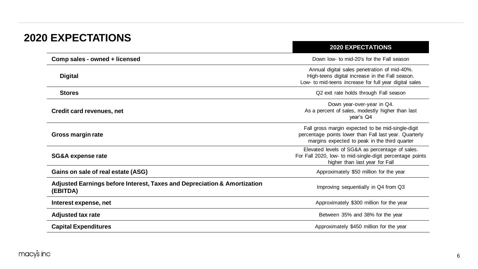## **2020 EXPECTATIONS**

|                                                                                      | ZUZU LAT LUTATIUNU                                                                                                                                           |
|--------------------------------------------------------------------------------------|--------------------------------------------------------------------------------------------------------------------------------------------------------------|
| Comp sales - owned + licensed                                                        | Down low- to mid-20's for the Fall season                                                                                                                    |
| <b>Digital</b>                                                                       | Annual digital sales penetration of mid-40%.<br>High-teens digital increase in the Fall season.<br>Low- to mid-teens increase for full year digital sales    |
| <b>Stores</b>                                                                        | Q2 exit rate holds through Fall season                                                                                                                       |
| Credit card revenues, net                                                            | Down year-over-year in Q4.<br>As a percent of sales, modestly higher than last<br>vear's Q4                                                                  |
| Gross margin rate                                                                    | Fall gross margin expected to be mid-single-digit<br>percentage points lower than Fall last year. Quarterly<br>margins expected to peak in the third quarter |
| SG&A expense rate                                                                    | Elevated levels of SG&A as percentage of sales.<br>For Fall 2020, low- to mid-single-digit percentage points<br>higher than last year for Fall               |
| Gains on sale of real estate (ASG)                                                   | Approximately \$50 million for the year                                                                                                                      |
| Adjusted Earnings before Interest, Taxes and Depreciation & Amortization<br>(EBITDA) | Improving sequentially in Q4 from Q3                                                                                                                         |
| Interest expense, net                                                                | Approximately \$300 million for the year                                                                                                                     |
| <b>Adjusted tax rate</b>                                                             | Between 35% and 38% for the year                                                                                                                             |
| <b>Capital Expenditures</b>                                                          | Approximately \$450 million for the year                                                                                                                     |
|                                                                                      |                                                                                                                                                              |

**2020 EXPECTATIONS**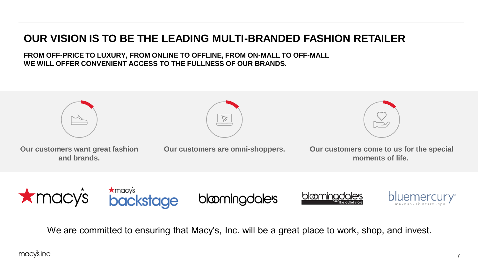## **OUR VISION IS TO BE THE LEADING MULTI-BRANDED FASHION RETAILER**

**FROM OFF-PRICE TO LUXURY, FROM ONLINE TO OFFLINE, FROM ON-MALL TO OFF-MALL WE WILL OFFER CONVENIENT ACCESS TO THE FULLNESS OF OUR BRANDS.** 





**Our customers want great fashion and brands.**

**Our customers are omni-shoppers.** 



**Our customers come to us for the special moments of life.**



We are committed to ensuring that Macy's, Inc. will be a great place to work, shop, and invest.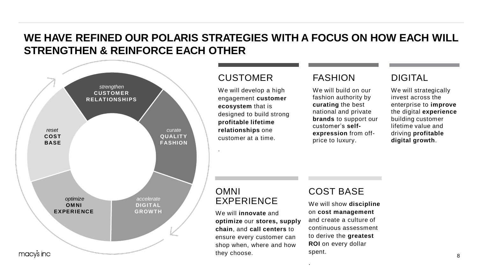## **WE HAVE REFINED OUR POLARIS STRATEGIES WITH A FOCUS ON HOW EACH WILL STRENGTHEN & REINFORCE EACH OTHER**



#### **CUSTOMER**

We will develop a high engagement **customer ecosystem** that is designed to build strong **profitable lifetime relationships** one customer at a time.

#### FASHION

We will build on our fashion authority by **curating** the best national and private **brands** to support our customer's **selfexpression** from offprice to luxury.

#### DIGITAL

We will strategically invest across the enterprise to **improve** the digital **experience** building customer lifetime value and driving **profitable digital growth**.

#### OMNI EXPERIENCE

.

We will **innovate** and **optimize** our **stores, supply chain**, and **call centers** to ensure every customer can shop when, where and how they choose.

### COST BASE

We will show **discipline** on **cost management**  and create a culture of continuous assessment to derive the **greatest ROI** on every dollar spent.

.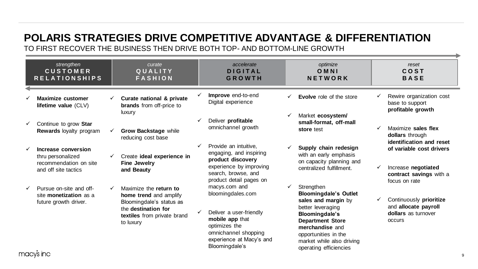## **POLARIS STRATEGIES DRIVE COMPETITIVE ADVANTAGE & DIFFERENTIATION**

TO FIRST RECOVER THE BUSINESS THEN DRIVE BOTH TOP- AND BOTTOM-LINE GROWTH

| strengthen<br><b>CUSTOMER</b><br><b>RELATIONSHIPS</b>                                      |   | curate<br>QUALITY<br><b>FASHION</b>                                                                                                             |              | accelerate<br><b>DIGITAL</b><br><b>GROWTH</b>                                                                                                                                                      |   | optimize<br>OMNI<br>NETWORK                                                                                                                                                                                                           | reset<br>COST<br><b>BASE</b>                                                                      |
|--------------------------------------------------------------------------------------------|---|-------------------------------------------------------------------------------------------------------------------------------------------------|--------------|----------------------------------------------------------------------------------------------------------------------------------------------------------------------------------------------------|---|---------------------------------------------------------------------------------------------------------------------------------------------------------------------------------------------------------------------------------------|---------------------------------------------------------------------------------------------------|
| <b>Maximize customer</b><br>lifetime value (CLV)                                           | ✓ | Curate national & private<br><b>brands</b> from off-price to<br>luxury                                                                          | ✓            | Improve end-to-end<br>Digital experience                                                                                                                                                           |   | <b>Evolve</b> role of the store<br>Market ecosystem/                                                                                                                                                                                  | Rewire organization cost<br>base to support<br>profitable growth                                  |
| Continue to grow Star<br><b>Rewards loyalty program</b>                                    | ✓ | <b>Grow Backstage while</b><br>reducing cost base                                                                                               | $\checkmark$ | Deliver profitable<br>omnichannel growth                                                                                                                                                           |   | small-format, off-mall<br>store test                                                                                                                                                                                                  | Maximize sales flex<br>dollars through<br>identification and reset                                |
| Increase conversion<br>thru personalized<br>recommendation on site<br>and off site tactics | ✓ | Create ideal experience in<br><b>Fine Jewelry</b><br>and Beauty                                                                                 | ✓            | Provide an intuitive,<br>engaging, and inspiring<br>product discovery<br>experience by improving<br>search, browse, and                                                                            |   | Supply chain redesign<br>with an early emphasis<br>on capacity planning and<br>centralized fulfillment.                                                                                                                               | of variable cost drivers<br>Increase negotiated<br>contract savings with a                        |
| Pursue on-site and off-<br>site monetization as a<br>future growth driver.<br>nacvs inc    |   | Maximize the return to<br>home trend and amplify<br>Bloomingdale's status as<br>the destination for<br>textiles from private brand<br>to luxury |              | product detail pages on<br>macys.com and<br>bloomingdales.com<br>Deliver a user-friendly<br>mobile app that<br>optimizes the<br>omnichannel shopping<br>experience at Macy's and<br>Bloomingdale's | ✓ | Strengthen<br><b>Bloomingdale's Outlet</b><br>sales and margin by<br>better leveraging<br>Bloomingdale's<br><b>Department Store</b><br>merchandise and<br>opportunities in the<br>market while also driving<br>operating efficiencies | focus on rate<br>Continuously prioritize<br>and allocate payroll<br>dollars as turnover<br>occurs |

macys inc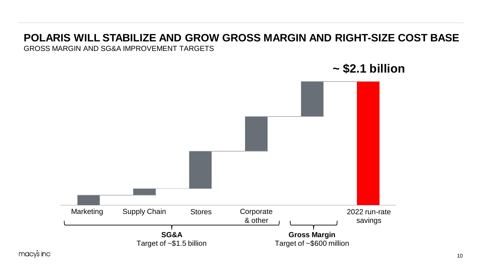## **POLARIS WILL STABILIZE AND GROW GROSS MARGIN AND RIGHT-SIZE COST BASE**

GROSS MARGIN AND SG&A IMPROVEMENT TARGETS

Marketing Supply Chain 2 Stores Corporate & other 2022 run-rate savings **SG&A** Target of ~\$1.5 billion **Gross Margin** Target of ~\$600 million

**~ \$2.1 billion**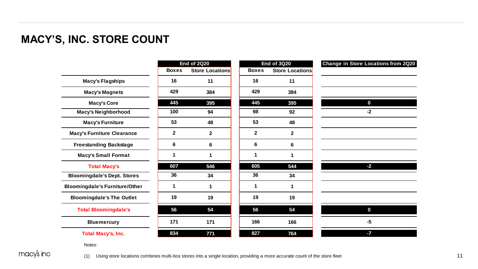## **MACY'S, INC. STORE COUNT Macy's, Inc. Store Count**

|                                       | <b>End of 2Q20</b> |                        |              | <b>End of 3Q20</b>     | Change in Store Locations from 2Q20 |  |  |
|---------------------------------------|--------------------|------------------------|--------------|------------------------|-------------------------------------|--|--|
|                                       | <b>Boxes</b>       | <b>Store Locations</b> | <b>Boxes</b> | <b>Store Locations</b> |                                     |  |  |
| <b>Macy's Flagships</b>               | 16                 | 11                     | 16           | 11                     |                                     |  |  |
| <b>Macy's Magnets</b>                 | 429                | 384                    | 429          | 384                    |                                     |  |  |
| <b>Macy's Core</b>                    | 445                | 395                    | 445          | 395                    | $\mathbf 0$                         |  |  |
| <b>Macy's Neighborhood</b>            | 100                | 94                     | 98           | 92                     | $-2$                                |  |  |
| <b>Macy's Furniture</b>               | 53                 | 48                     | 53           | 48                     |                                     |  |  |
| <b>Macy's Furniture Clearance</b>     | $\mathbf{2}$       | $\mathbf{2}$           | $\mathbf{2}$ | $\mathbf{2}$           |                                     |  |  |
| <b>Freestanding Backstage</b>         | 6                  | 6                      | 6            | 6                      |                                     |  |  |
| <b>Macy's Small Format</b>            | 1                  | 1                      | 1            | 1                      |                                     |  |  |
| <b>Total Macy's</b>                   | 607                | 546                    | 605          | 544                    | $-2$                                |  |  |
| <b>Bloomingdale's Dept. Stores</b>    | 36                 | 34                     | 36           | 34                     |                                     |  |  |
| <b>Bloomingdale's Furniture/Other</b> | 1                  | 1                      | 1            | 1                      |                                     |  |  |
| <b>Bloomingdale's The Outlet</b>      | 19                 | 19                     | 19           | 19                     |                                     |  |  |
| <b>Total Bloomingdale's</b>           | 56                 | 54                     | 56           | 54                     | $\mathbf{0}$                        |  |  |
| <b>Bluemercury</b>                    | 171                | 171                    | 166          | 166                    | -5                                  |  |  |
| <b>Total Macy's, Inc.</b>             | 834                | 771                    | 827          | 764                    | $-7$                                |  |  |

Notes:

macy's inc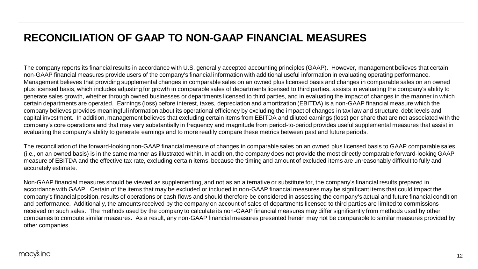## **RECONCILIATION OF GAAP TO NON-GAAP FINANCIAL MEASURES**

The company reports its financial results in accordance with U.S. generally accepted accounting principles (GAAP). However, management believes that certain non-GAAP financial measures provide users of the company's financial information with additional useful information in evaluating operating performance. Management believes that providing supplemental changes in comparable sales on an owned plus licensed basis and changes in comparable sales on an owned plus licensed basis, which includes adjusting for growth in comparable sales of departments licensed to third parties, assists in evaluating the company's ability to generate sales growth, whether through owned businesses or departments licensed to third parties, and in evaluating the impact of changes in the manner in which certain departments are operated. Earnings (loss) before interest, taxes, depreciation and amortization (EBITDA) is a non-GAAP financial measure which the company believes provides meaningful information about its operational efficiency by excluding the impact of changes in tax law and structure, debt levels and capital investment. In addition, management believes that excluding certain items from EBITDA and diluted earnings (loss) per share that are not associated with the company's core operations and that may vary substantially in frequency and magnitude from period-to-period provides useful supplemental measures that assist in evaluating the company's ability to generate earnings and to more readily compare these metrics between past and future periods.

The reconciliation of the forward-looking non-GAAP financial measure of changes in comparable sales on an owned plus licensed basis to GAAP comparable sales (i.e., on an owned basis) is in the same manner as illustrated within. In addition, the company does not provide the most directly comparable forward-looking GAAP measure of EBITDA and the effective tax rate, excluding certain items, because the timing and amount of excluded items are unreasonably difficult to fully and accurately estimate.

Non-GAAP financial measures should be viewed as supplementing, and not as an alternative or substitute for, the company's financial results prepared in accordance with GAAP. Certain of the items that may be excluded or included in non-GAAP financial measures may be significant items that could impact the company's financial position, results of operations or cash flows and should therefore be considered in assessing the company's actual and future financial condition and performance. Additionally, the amounts received by the company on account of sales of departments licensed to third parties are limited to commissions received on such sales. The methods used by the company to calculate its non-GAAP financial measures may differ significantly from methods used by other companies to compute similar measures. As a result, any non-GAAP financial measures presented herein may not be comparable to similar measures provided by other companies.

#### macy's inc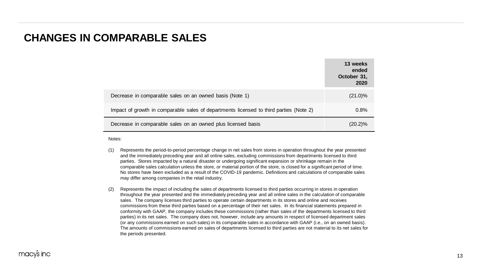#### **CHANGES IN COMPARABLE SALES**

|                                                                                        | 13 weeks<br>ended<br>October 31,<br>2020 |
|----------------------------------------------------------------------------------------|------------------------------------------|
| Decrease in comparable sales on an owned basis (Note 1)                                | $(21.0)\%$                               |
| Impact of growth in comparable sales of departments licensed to third parties (Note 2) | 0.8%                                     |
| Decrease in comparable sales on an owned plus licensed basis                           | (20.2)%                                  |

Notes:

- (1) Represents the period-to-period percentage change in net sales from stores in operation throughout the year presented and the immediately preceding year and all online sales, excluding commissions from departments licensed to third parties. Stores impacted by a natural disaster or undergoing significant expansion or shrinkage remain in the comparable sales calculation unless the store, or material portion of the store, is closed for a significant period of time. No stores have been excluded as a result of the COVID-19 pandemic. Definitions and calculations of comparable sales may differ among companies in the retail industry.
- (2) Represents the impact of including the sales of departments licensed to third parties occurring in stores in operation throughout the year presented and the immediately preceding year and all online sales in the calculation of comparable sales. The company licenses third parties to operate certain departments in its stores and online and receives commissions from these third parties based on a percentage of their net sales. In its financial statements prepared in conformity with GAAP, the company includes these commissions (rather than sales of the departments licensed to third parties) in its net sales. The company does not, however, include any amounts in respect of licensed department sales (or any commissions earned on such sales) in its comparable sales in accordance with GAAP (i.e., on an owned basis). The amounts of commissions earned on sales of departments licensed to third parties are not material to its net sales for the periods presented.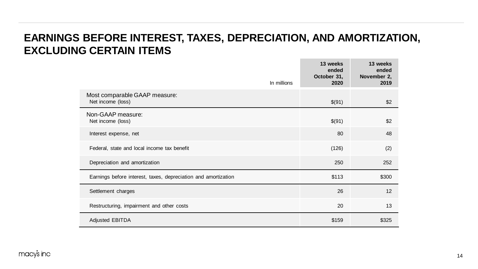## **EARNINGS BEFORE INTEREST, TAXES, DEPRECIATION, AND AMORTIZATION, EXCLUDING CERTAIN ITEMS**

| In millions                                                    | 13 weeks<br>ended<br>October 31,<br>2020 | 13 weeks<br>ended<br>November 2,<br>2019 |
|----------------------------------------------------------------|------------------------------------------|------------------------------------------|
| Most comparable GAAP measure:<br>Net income (loss)             | \$(91)                                   | \$2                                      |
| Non-GAAP measure:<br>Net income (loss)                         | \$(91)                                   | \$2                                      |
| Interest expense, net                                          | 80                                       | 48                                       |
| Federal, state and local income tax benefit                    | (126)                                    | (2)                                      |
| Depreciation and amortization                                  | 250                                      | 252                                      |
| Earnings before interest, taxes, depreciation and amortization | \$113                                    | \$300                                    |
| Settlement charges                                             | 26                                       | 12                                       |
| Restructuring, impairment and other costs                      | 20                                       | 13                                       |
| <b>Adjusted EBITDA</b>                                         | \$159                                    | \$325                                    |